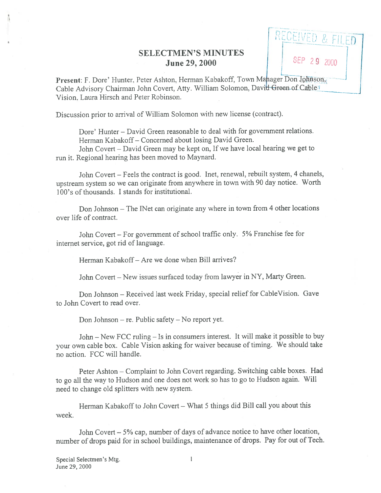## SELECTMEN'S MINUTES June 29, 2000

 $\alpha$  . Lift

SEP 29 2000

Present: F. Dore' Hunter, Peter Ashton, Herman Kabakoff, Town Mahager Don Johnson. Cable Advisory Chairman John Covert, Atty. William Solomon, Davit<del>l Gr</del>een of Cable<sup>y</sup> Vision. Laura Hirsch and Peter Robinson.

Discussion prior to arrival of William Solomon with new license (contract).

Dore' Hunter — David Green reasonable to deal with for governmen<sup>t</sup> relations. Herman Kabakoff— Concerned about losing David Green.

John Covert — David Green may be kept on, If we have local hearing we ge<sup>t</sup> to run it. Regional hearing has been moved to Maynard.

John Covert — Feels the contract is good. met, renewal, rebuilt system, <sup>4</sup> chanels, upstream system so we can originate from anywhere in town with <sup>90</sup> day notice. Worth 100's of thousands. I stands for institutional.

Don Johnson — The INet can originate any where in town from <sup>4</sup> other locations over life of contract.

John Covert — For governmen<sup>t</sup> of school traffic only. 5% Franchise fee for internet service, go<sup>t</sup> rid of language.

Herman Kabakoff— Are we done when Bill arrives?

John Covert — New issues surfaced today from lawyer in NY, Marty Green.

Don Johnson — Received last week Friday, special relief for CableVision. Gave to John Covert to read over.

Don Johnson – re. Public safety – No report yet.

John — New FCC ruling — Is in consumers interest. It will make it possible to buy your own cable box. Cable Vision asking for waiver because of timing. We should take no action. FCC will handle.

Peter Ashton — Complaint to John Covert regarding. Switching cable boxes. Had to go all the way to Hudson and one does not work so has to go to Hudson again. Will need to change old splitters with new system.

Herman Kabakoff to John Covert — What 5 things did Bill call you about this week.

John Covert — 5% cap, number of days of advance notice to have other location, number of drops paid for in school buildings, maintenance of drops. Pay for out of Tech.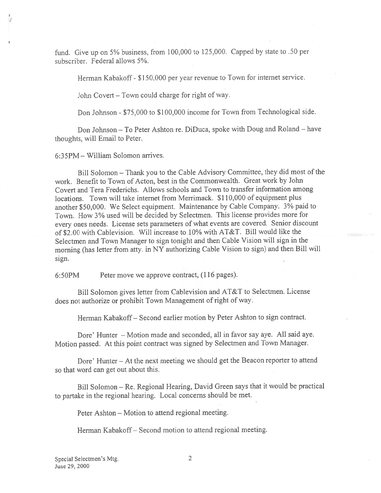fund. Give up on 5% business, from 100,000 to 125,000. Capped by state to .50 per subscriber. Federal allows 5%.

Herman Kabakoff - \$150,000 per year revenue to Town for internet service.

John Covert — Town could charge for right of way.

Don Johnson - \$75,000 to \$100,000 income for Town from Technological side.

Don Johnson — To Peter Ashton re. DiDuca, spoke with Doug and Roland — have thoughts, will Email to Peter.

6:35PM — William Solomon arrives.

Bill Solomon — Thank you to the Cable Advisory Committee, they did most of the work. Benefit to Town of Acton, best in the Commonwealth. Great work by John Covert and Tera Frederichs. Allows schools and Town to transfer information among locations. Town will take internet from Merrimack. \$110,000 of equipment plus another \$50,000. We Select equipment. Maintenance by Cable Company. 3% paid to Town. How 3% used will be decided by Selectmen. This license provides more for every ones needs. License sets parameters of what events are covered. Senior discount of \$2.00 with Cablevision. Will increase to 10% with AT&T. Bill would like the Selectmen and Town Manager to sign tonight and then Cable Vision will sign in the morning (has letter from atty. in NY authorizing Cable Vision to sign) and then Bill will sign.

6:50PM Peter move we approve contract, (116 pages).

Bill Solomon <sup>g</sup>ives letter from Cablevision and AT&T to Selectmen. License does not authorize or prohibit Town Management of right of way.

Herman Kabakoff— Second earlier motion by Peter Ashton to sign contract.

Dore' Hunter — Motion made and seconded, all in favor say aye. All said aye. Motion passed. At this point contract was signed by Selectmen and Town Manager.

Dore' Hunter — At the next meeting we should ge<sup>t</sup> the Beacon reporter to attend so that word can ge<sup>t</sup> out about this.

Bill Solomon — Re. Regional Hearing, David Green says that it would be practical to partake in the regional hearing. Local concerns should be met.

Peter Ashton — Motion to attend regional meeting.

Herman Kabakoff— Second motion to attend regional meeting.

Special Selectmen's Mtg. 2 June 29, 2000